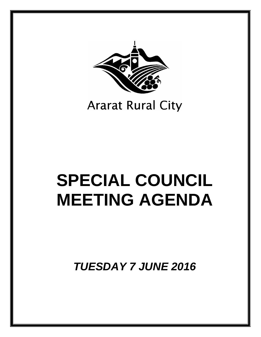

# **Ararat Rural City**

# **SPECIAL COUNCIL MEETING AGENDA**

*TUESDAY 7 JUNE 2016*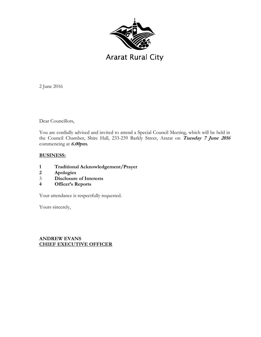

**Ararat Rural City** 

2 June 2016

Dear Councillors,

You are cordially advised and invited to attend a Special Council Meeting, which will be held in the Council Chamber, Shire Hall, 233-239 Barkly Street, Ararat on **Tuesday 7 June 2016** commencing at **6.00pm.**

# **BUSINESS:**

- **1 Traditional Acknowledgement/Prayer**
- **2 Apologies**
- 3 **Disclosure of Interests**
- **4 Officer's Reports**

Your attendance is respectfully requested.

Yours sincerely,

## **ANDREW EVANS CHIEF EXECUTIVE OFFICER**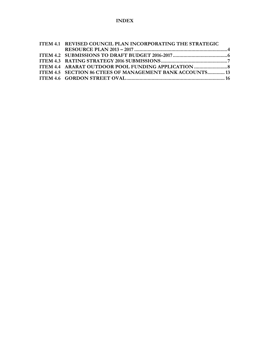# **INDEX**

| ITEM 4.1 REVISED COUNCIL PLAN INCORPORATING THE STRATEGIC |  |
|-----------------------------------------------------------|--|
|                                                           |  |
|                                                           |  |
|                                                           |  |
| ITEM 4.4 ARARAT OUTDOOR POOL FUNDING APPLICATION          |  |
| ITEM 4.5 SECTION 86 CTEES OF MANAGEMENT BANK ACCOUNTS 13  |  |
|                                                           |  |
|                                                           |  |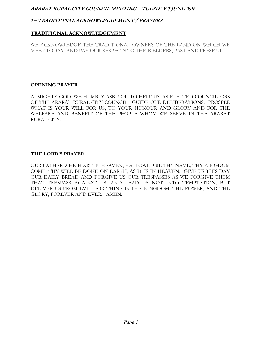# **1 – TRADITIONAL ACKNOWLEDGEMENT / PRAYERS**

# **TRADITIONAL ACKNOWLEDGEMENT**

WE ACKNOWLEDGE THE TRADITIONAL OWNERS OF THE LAND ON WHICH WE MEET TODAY, AND PAY OUR RESPECTS TO THEIR ELDERS, PAST AND PRESENT.

### **OPENING PRAYER**

ALMIGHTY GOD, WE HUMBLY ASK YOU TO HELP US, AS ELECTED COUNCILLORS OF THE ARARAT RURAL CITY COUNCIL. GUIDE OUR DELIBERATIONS. PROSPER WHAT IS YOUR WILL FOR US, TO YOUR HONOUR AND GLORY AND FOR THE WELFARE AND BENEFIT OF THE PEOPLE WHOM WE SERVE IN THE ARARAT RURAL CITY.

#### **THE LORD'S PRAYER**

OUR FATHER WHICH ART IN HEAVEN, HALLOWED BE THY NAME, THY KINGDOM COME, THY WILL BE DONE ON EARTH, AS IT IS IN HEAVEN. GIVE US THIS DAY OUR DAILY BREAD AND FORGIVE US OUR TRESPASSES AS WE FORGIVE THEM THAT TRESPASS AGAINST US, AND LEAD US NOT INTO TEMPTATION, BUT DELIVER US FROM EVIL, FOR THINE IS THE KINGDOM, THE POWER, AND THE GLORY, FOREVER AND EVER. AMEN.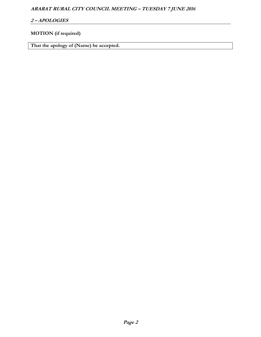# **2 – APOLOGIES**

# **MOTION (if required)**

**That the apology of (Name) be accepted.**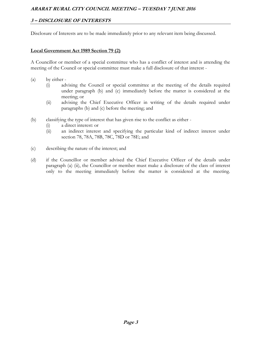# **3 – DISCLOSURE OF INTERESTS**

Disclosure of Interests are to be made immediately prior to any relevant item being discussed.

#### **Local Government Act 1989 Section 79 (2)**

A Councillor or member of a special committee who has a conflict of interest and is attending the meeting of the Council or special committee must make a full disclosure of that interest -

- (a) by either
	- (i) advising the Council or special committee at the meeting of the details required under paragraph (b) and (c) immediately before the matter is considered at the meeting; or
	- (ii) advising the Chief Executive Officer in writing of the details required under paragraphs (b) and (c) before the meeting; and
- (b) classifying the type of interest that has given rise to the conflict as either
	- (i) a direct interest: or
	- (ii) an indirect interest and specifying the particular kind of indirect interest under section 78, 78A, 78B, 78C, 78D or 78E; and
- (c) describing the nature of the interest; and
- (d) if the Councillor or member advised the Chief Executive Officer of the details under paragraph (a) (ii), the Councillor or member must make a disclosure of the class of interest only to the meeting immediately before the matter is considered at the meeting.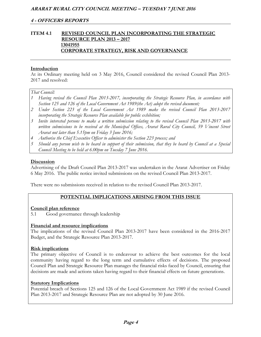# **ITEM 4.1 REVISED COUNCIL PLAN INCORPORATING THE STRATEGIC RESOURCE PLAN 2013 – 2017 13041955 CORPORATE STRATEGY, RISK AND GOVERNANCE**

#### **Introduction**

At its Ordinary meeting held on 3 May 2016, Council considered the revised Council Plan 2013- 2017 and resolved:

#### *That Council:*

- *1 Having revised the Council Plan 2013-2017, incorporating the Strategic Resource Plan, in accordance with Section 125 and 126 of the Local Government Act 1989(the Act) adopt the revised document;*
- *2 Under Section 223 of the Local Government Act 1989 make the revised Council Plan 2013-2017 incorporating the Strategic Resource Plan available for public exhibition;*
- *3 Invite interested persons to make a written submission relating to the revised Council Plan 2013-2017 with written submissions to be received at the Municipal Offices, Ararat Rural City Council, 59 Vincent Street Ararat not later than 5.15pm on Friday 3 June 2016;*
- *4 Authorise the Chief Executive Officer to administer the Section 223 process; and*
- *5 Should any person wish to be heard in support of their submission, that they be heard by Council at a Special Council Meeting to be held at 6.00pm on Tuesday 7 June 2016.*

#### **Discussion**

Advertising of the Draft Council Plan 2013-2017 was undertaken in the Ararat Advertiser on Friday 6 May 2016. The public notice invited submissions on the revised Council Plan 2013-2017.

There were no submissions received in relation to the revised Council Plan 2013-2017.

#### **POTENTIAL IMPLICATIONS ARISING FROM THIS ISSUE**

#### **Council plan reference**

5.1 Good governance through leadership

#### **Financial and resource implications**

The implications of the revised Council Plan 2013-2017 have been considered in the 2016-2017 Budget, and the Strategic Resource Plan 2013-2017.

#### **Risk implications**

The primary objective of Council is to endeavour to achieve the best outcomes for the local community having regard to the long term and cumulative effects of decisions. The proposed Council Plan and Strategic Resource Plan manages the financial risks faced by Council, ensuring that decisions are made and actions taken having regard to their financial effects on future generations.

#### **Statutory Implications**

Potential breach of Sections 125 and 126 of the Local Government Act 1989 if the revised Council Plan 2013-2017 and Strategic Resource Plan are not adopted by 30 June 2016.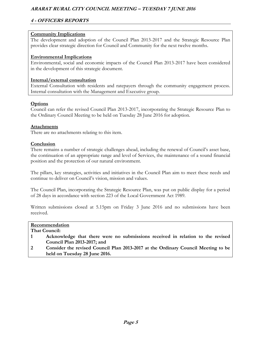# **4 - OFFICERS REPORTS**

#### **Community Implications**

The development and adoption of the Council Plan 2013-2017 and the Strategic Resource Plan provides clear strategic direction for Council and Community for the next twelve months.

#### **Environmental Implications**

Environmental, social and economic impacts of the Council Plan 2013-2017 have been considered in the development of this strategic document.

#### **Internal/external consultation**

External Consultation with residents and ratepayers through the community engagement process. Internal consultation with the Management and Executive group.

#### **Options**

Council can refer the revised Council Plan 2013-2017, incorporating the Strategic Resource Plan to the Ordinary Council Meeting to be held on Tuesday 28 June 2016 for adoption.

#### **Attachments**

There are no attachments relating to this item.

#### **Conclusion**

There remains a number of strategic challenges ahead, including the renewal of Council's asset base, the continuation of an appropriate range and level of Services, the maintenance of a sound financial position and the protection of our natural environment.

The pillars, key strategies, activities and initiatives in the Council Plan aim to meet these needs and continue to deliver on Council's vision, mission and values.

The Council Plan, incorporating the Strategic Resource Plan, was put on public display for a period of 28 days in accordance with section 223 of the Local Government Act 1989.

Written submissions closed at 5.15pm on Friday 3 June 2016 and no submissions have been received.

# **Recommendation**

**That Council:** 

- **1 Acknowledge that there were no submissions received in relation to the revised Council Plan 2013-2017; and**
- **2 Consider the revised Council Plan 2013-2017 at the Ordinary Council Meeting to be held on Tuesday 28 June 2016.**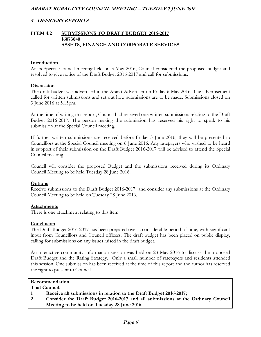#### **ITEM 4.2 SUBMISSIONS TO DRAFT BUDGET 2016-2017 16073040 ASSETS, FINANCE AND CORPORATE SERVICES**

#### **Introduction**

At its Special Council meeting held on 3 May 2016, Council considered the proposed budget and resolved to give notice of the Draft Budget 2016-2017 and call for submissions.

#### **Discussion**

The draft budget was advertised in the Ararat Advertiser on Friday 6 May 2016. The advertisement called for written submissions and set out how submissions are to be made. Submissions closed on 3 June 2016 at 5.15pm.

At the time of writing this report, Council had received one written submissions relating to the Draft Budget 2016-2017. The person making the submission has reserved his right to speak to his submission at the Special Council meeting.

If further written submissions are received before Friday 3 June 2016, they will be presented to Councillors at the Special Council meeting on 6 June 2016. Any ratepayers who wished to be heard in support of their submission on the Draft Budget 2016-2017 will be advised to attend the Special Council meeting.

Council will consider the proposed Budget and the submissions received during its Ordinary Council Meeting to be held Tuesday 28 June 2016.

#### **Options**

Receive submissions to the Draft Budget 2016-2017 and consider any submissions at the Ordinary Council Meeting to be held on Tuesday 28 June 2016.

#### **Attachments**

There is one attachment relating to this item.

#### **Conclusion**

The Draft Budget 2016-2017 has been prepared over a considerable period of time, with significant input from Councillors and Council officers. The draft budget has been placed on public display, calling for submissions on any issues raised in the draft budget.

An interactive community information session was held on 23 May 2016 to discuss the proposed Draft Budget and the Rating Strategy. Only a small number of ratepayers and residents attended this session. One submission has been received at the time of this report and the author has reserved the right to present to Council.

| Recommendation |                                                                                 |  |
|----------------|---------------------------------------------------------------------------------|--|
| That Council:  |                                                                                 |  |
|                | Receive all submissions in relation to the Draft Budget 2016-2017;              |  |
| 2              | Consider the Draft Budget 2016-2017 and all submissions at the Ordinary Council |  |
|                | Meeting to be held on Tuesday 28 June 2016.                                     |  |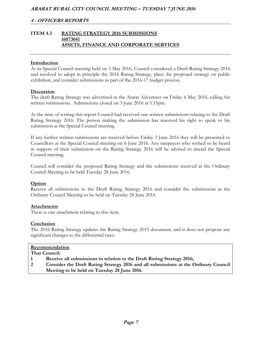#### **ITEM 4.3 RATING STRATEGY 2016 SUBMISSIONS 16073041 ASSETS, FINANCE AND CORPORATE SERVICES**

#### **Introduction**

At its Special Council meeting held on 3 May 2016, Council considered a Draft Rating Strategy 2016 and resolved to adopt in principle the 2016 Rating Strategy, place the proposed strategy on public exhibition, and consider submissions as part of the 2016-17 budget process.

#### **Discussion**

The draft Rating Strategy was advertised in the Ararat Advertiser on Friday 6 May 2016, calling for written submissions. Submissions closed on 3 June 2016 at 5.15pm.

At the time of writing this report Council had received one written submissions relating to the Draft Rating Strategy 2016. The person making the submission has reserved his right to speak to his submission at the Special Council meeting.

If any further written submissions are received before Friday 3 June 2016 they will be presented to Councillors at the Special Council meeting on 6 June 2016. Any ratepayers who wished to be heard in support of their submission on the Rating Strategy 2016 will be advised to attend the Special Council meeting.

Council will consider the proposed Rating Strategy and the submissions received at the Ordinary Council Meeting to be held Tuesday 28 June 2016.

#### **Option**

Receive all submissions to the Draft Rating Strategy 2016 and consider the submissions at the Ordinary Council Meeting to be held on Tuesday 28 June 2016.

#### **Attachments**

There is one attachment relating to this item.

#### **Conclusion**

The 2016 Rating Strategy updates the Rating Strategy 2015 document, and it does not propose any significant changes to the differential rates.

#### **Recommendation**

#### **That Council:**

- **1 Receive all submissions in relation to the Draft Rating Strategy 2016;**
- **2 Consider the Draft Rating Strategy 2016 and all submissions at the Ordinary Council Meeting to be held on Tuesday 28 June 2016.**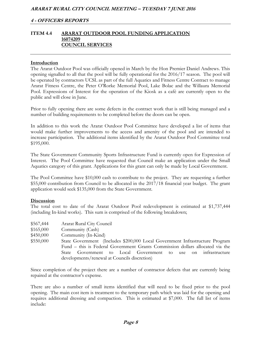### **ITEM 4.4 ARARAT OUTDOOR POOL FUNDING APPLICATION 16074209 COUNCIL SERVICES**

#### **Introduction**

The Ararat Outdoor Pool was officially opened in March by the Hon Premier Daniel Andrews. This opening signalled to all that the pool will be fully operational for the 2016/17 season. The pool will be operated by contractors UCSL as part of the full Aquatics and Fitness Centre Contract to manage Ararat Fitness Centre, the Peter O'Rorke Memorial Pool, Lake Bolac and the Willaura Memorial Pool. Expressions of Interest for the operation of the Kiosk as a café are currently open to the public and will close in June.

Prior to fully opening there are some defects in the contract work that is still being managed and a number of building requirements to be completed before the doors can be open.

In addition to this work the Ararat Outdoor Pool Committee have developed a list of items that would make further improvements to the access and amenity of the pool and are intended to increase participation. The additional items identified by the Ararat Outdoor Pool Committee total \$195,000.

The State Government Community Sports Infrastructure Fund is currently open for Expression of Interest. The Pool Committee have requested that Council make an application under the Small Aquatics category of this grant. Applications for this grant can only be made by Local Government.

The Pool Committee have \$10,000 cash to contribute to the project. They are requesting a further \$55,000 contribution from Council to be allocated in the 2017/18 financial year budget. The grant application would seek \$135,000 from the State Government.

#### **Discussion**

The total cost to date of the Ararat Outdoor Pool redevelopment is estimated at \$1,737,444 (including In-kind works). This sum is comprised of the following breakdown;

\$567,444 Ararat Rural City Council \$165,000 Community (Cash) \$450,000 Community (In-Kind) \$550,000 State Government (Includes \$200,000 Local Government Infrastructure Program Fund – this is Federal Government Grants Commission dollars allocated via the State Government to Local Government to use on infrastructure developments/renewal at Councils discretion)

Since completion of the project there are a number of contractor defects that are currently being repaired at the contractor's expense.

There are also a number of small items identified that will need to be fixed prior to the pool opening. The main cost item is treatment to the temporary path which was laid for the opening and requires additional dressing and compaction. This is estimated at \$7,000. The full list of items include: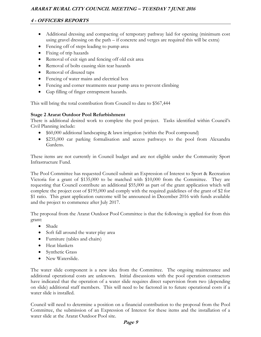# **4 - OFFICERS REPORTS**

- Additional dressing and compacting of temporary pathway laid for opening (minimum cost using gravel dressing on the path – if concrete and verges are required this will be extra)
- Fencing off of steps leading to pump area
- Fixing of trip hazards
- Removal of exit sign and fencing off old exit area
- Removal of bolts causing skin tear hazards
- Removal of disused taps
- Fencing of water mains and electrical box
- Fencing and corner treatments near pump area to prevent climbing
- Gap filling of finger entrapment hazards.

This will bring the total contribution from Council to date to \$567,444

# **Stage 2 Ararat Outdoor Pool Refurbishment**

There is additional desired work to complete the pool project. Tasks identified within Council's Civil Planning include:

- \$60,000 additional landscaping & lawn irrigation (within the Pool compound)
- \$235,000 car parking formalisation and access pathways to the pool from Alexandra Gardens.

These items are not currently in Council budget and are not eligible under the Community Sport Infrastructure Fund.

The Pool Committee has requested Council submit an Expression of Interest to Sport & Recreation Victoria for a grant of \$135,000 to be matched with \$10,000 from the Committee. They are requesting that Council contribute an additional \$55,000 as part of the grant application which will complete the project cost of \$195,000 and comply with the required guidelines of the grant of \$2 for \$1 ratio. This grant application outcome will be announced in December 2016 with funds available and the project to commence after July 2017.

The proposal from the Ararat Outdoor Pool Committee is that the following is applied for from this grant:

- Shade
- Soft fall around the water play area
- Furniture (tables and chairs)
- Heat blankets
- Synthetic Grass
- New Waterslide.

The water slide component is a new idea from the Committee. The ongoing maintenance and additional operational costs are unknown. Initial discussions with the pool operation contractors have indicated that the operation of a water slide requires direct supervision from two (depending on slide) additional staff members. This will need to be factored in to future operational costs if a water slide is installed.

Council will need to determine a position on a financial contribution to the proposal from the Pool Committee, the submission of an Expression of Interest for these items and the installation of a water slide at the Ararat Outdoor Pool site.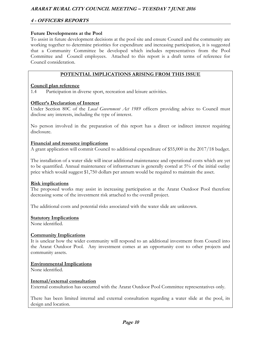#### **Future Developments at the Pool**

To assist in future development decisions at the pool site and ensure Council and the community are working together to determine priorities for expenditure and increasing participation, it is suggested that a Community Committee be developed which includes representatives from the Pool Committee and Council employees. Attached to this report is a draft terms of reference for Council consideration.

# **POTENTIAL IMPLICATIONS ARISING FROM THIS ISSUE**

#### **Council plan reference**

1.4 Participation in diverse sport, recreation and leisure activities.

#### **Officer's Declaration of Interest**

Under Section 80C of the *Local Government Act 1989* officers providing advice to Council must disclose any interests, including the type of interest.

No person involved in the preparation of this report has a direct or indirect interest requiring disclosure.

#### **Financial and resource implications**

A grant application will commit Council to additional expenditure of \$55,000 in the 2017/18 budget.

The installation of a water slide will incur additional maintenance and operational costs which are yet to be quantified. Annual maintenance of infrastructure is generally costed at 5% of the initial outlay price which would suggest \$1,750 dollars per annum would be required to maintain the asset.

#### **Risk implications**

The proposed works may assist in increasing participation at the Ararat Outdoor Pool therefore decreasing some of the investment risk attached to the overall project.

The additional costs and potential risks associated with the water slide are unknown.

#### **Statutory Implications**

None identified.

#### **Community Implications**

It is unclear how the wider community will respond to an additional investment from Council into the Ararat Outdoor Pool. Any investment comes at an opportunity cost to other projects and community assets.

#### **Environmental Implications**

None identified.

#### **Internal/external consultation**

External consultation has occurred with the Ararat Outdoor Pool Committee representatives only.

There has been limited internal and external consultation regarding a water slide at the pool, its design and location.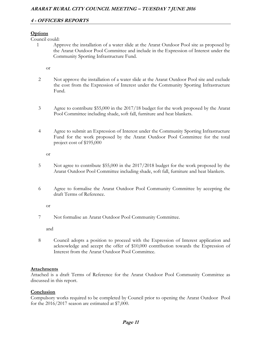# **Options**

Council could:

1 Approve the installation of a water slide at the Ararat Outdoor Pool site as proposed by the Ararat Outdoor Pool Committee and include in the Expression of Interest under the Community Sporting Infrastructure Fund.

or

- 2 Not approve the installation of a water slide at the Ararat Outdoor Pool site and exclude the cost from the Expression of Interest under the Community Sporting Infrastructure Fund.
- 3 Agree to contribute \$55,000 in the 2017/18 budget for the work proposed by the Ararat Pool Committee including shade, soft fall, furniture and heat blankets.
- 4 Agree to submit an Expression of Interest under the Community Sporting Infrastructure Fund for the work proposed by the Ararat Outdoor Pool Committee for the total project cost of \$195,000

or

- 5 Not agree to contribute \$55,000 in the 2017/2018 budget for the work proposed by the Ararat Outdoor Pool Committee including shade, soft fall, furniture and heat blankets.
- 6 Agree to formalise the Ararat Outdoor Pool Community Committee by accepting the draft Terms of Reference.

or

7 Not formalise an Ararat Outdoor Pool Community Committee.

and

8 Council adopts a position to proceed with the Expression of Interest application and acknowledge and accept the offer of \$10,000 contribution towards the Expression of Interest from the Ararat Outdoor Pool Committee.

# **Attachments**

Attached is a draft Terms of Reference for the Ararat Outdoor Pool Community Committee as discussed in this report.

# **Conclusion**

Compulsory works required to be completed by Council prior to opening the Ararat Outdoor Pool for the 2016/2017 season are estimated at \$7,000.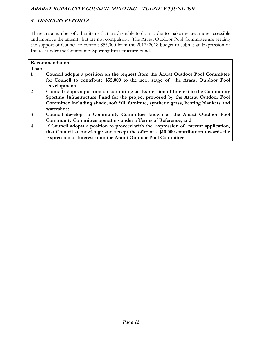There are a number of other items that are desirable to do in order to make the area more accessible and improve the amenity but are not compulsory. The Ararat Outdoor Pool Committee are seeking the support of Council to commit \$55,000 from the 2017/2018 budget to submit an Expression of Interest under the Community Sporting Infrastructure Fund.

#### **Recommendation That: 1 Council adopts a position on the request from the Ararat Outdoor Pool Committee for Council to contribute \$55,000 to the next stage of the Ararat Outdoor Pool Development; 2 Council adopts a position on submitting an Expression of Interest to the Community Sporting Infrastructure Fund for the project proposed by the Ararat Outdoor Pool Committee including shade, soft fall, furniture, synthetic grass, heating blankets and waterslide; 3 Council develops a Community Committee known as the Ararat Outdoor Pool Community Committee operating under a Terms of Reference; and 4 If Council adopts a position to proceed with the Expression of Interest application, that Council acknowledge and accept the offer of a \$10,000 contribution towards the Expression of Interest from the Ararat Outdoor Pool Committee.**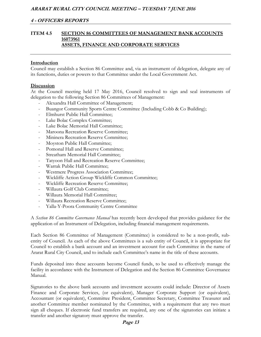#### **ITEM 4.5 SECTION 86 COMMITTEES OF MANAGEMENT BANK ACCOUNTS 16073961 ASSETS, FINANCE AND CORPORATE SERVICES**

#### **Introduction**

Council may establish a Section 86 Committee and, via an instrument of delegation, delegate any of its functions, duties or powers to that Committee under the Local Government Act.

#### **Discussion**

At the Council meeting held 17 May 2016, Council resolved to sign and seal instruments of delegation to the following Section 86 Committees of Management:

- Alexandra Hall Committee of Management;
- Buangor Community Sports Centre Committee (Including Cobb & Co Building);
- Elmhurst Public Hall Committee;
- Lake Bolac Complex Committee;
- Lake Bolac Memorial Hall Committee;
- Maroona Recreation Reserve Committee;
- Mininera Recreation Reserve Committee;
- Moyston Public Hall Committee;
- Pomonal Hall and Reserve Committee;
- Streatham Memorial Hall Committee;
- Tatyoon Hall and Recreation Reserve Committee;
- Warrak Public Hall Committee;
- Westmere Progress Association Committee;
- Wickliffe Action Group Wickliffe Common Committee;
- Wickliffe Recreation Reserve Committee;
- Willaura Golf Club Committee;
- Willaura Memorial Hall Committee;
- Willaura Recreation Reserve Committee;
- Yalla-Y-Poora Community Centre Committee

A *Section 86 Committee Governance Manual* has recently been developed that provides guidance for the application of an Instrument of Delegation, including financial management requirements.

Each Section 86 Committee of Management (Committee) is considered to be a non-profit, subentity of Council. As each of the above Committees is a sub entity of Council, it is appropriate for Council to establish a bank account and an investment account for each Committee in the name of Ararat Rural City Council, and to include each Committee's name in the title of these accounts.

Funds deposited into these accounts become Council funds, to be used to effectively manage the facility in accordance with the Instrument of Delegation and the Section 86 Committee Governance Manual.

Signatories to the above bank accounts and investment accounts could include: Director of Assets Finance and Corporate Services, (or equivalent), Manager Corporate Support (or equivalent), Accountant (or equivalent), Committee President, Committee Secretary, Committee Treasurer and another Committee member nominated by the Committee, with a requirement that any two must sign all cheques. If electronic fund transfers are required, any one of the signatories can initiate a transfer and another signatory must approve the transfer.

#### **Page 13**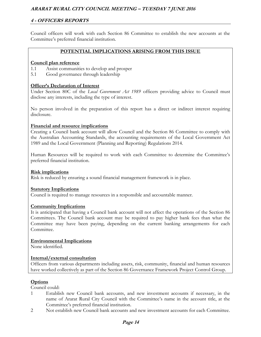# **4 - OFFICERS REPORTS**

Council officers will work with each Section 86 Committee to establish the new accounts at the Committee's preferred financial institution.

#### **POTENTIAL IMPLICATIONS ARISING FROM THIS ISSUE**

#### **Council plan reference**

- 1.1 Assist communities to develop and prosper
- 5.1 Good governance through leadership

#### **Officer's Declaration of Interest**

Under Section 80C of the *Local Government Act 1989* officers providing advice to Council must disclose any interests, including the type of interest.

No person involved in the preparation of this report has a direct or indirect interest requiring disclosure.

#### **Financial and resource implications**

Creating a Council bank account will allow Council and the Section 86 Committee to comply with the Australian Accounting Standards, the accounting requirements of the Local Government Act 1989 and the Local Government (Planning and Reporting) Regulations 2014.

Human Resources will be required to work with each Committee to determine the Committee's preferred financial institution.

#### **Risk implications**

Risk is reduced by ensuring a sound financial management framework is in place.

#### **Statutory Implications**

Council is required to manage resources in a responsible and accountable manner.

#### **Community Implications**

It is anticipated that having a Council bank account will not affect the operations of the Section 86 Committees. The Council bank account may be required to pay higher bank fees than what the Committee may have been paying, depending on the current banking arrangements for each Committee.

#### **Environmental Implications**

None identified.

#### **Internal/external consultation**

Officers from various departments including assets, risk, community, financial and human resources have worked collectively as part of the Section 86 Governance Framework Project Control Group.

#### **Options**

Council could:

- 1 Establish new Council bank accounts, and new investment accounts if necessary, in the name of Ararat Rural City Council with the Committee's name in the account title, at the Committee's preferred financial institution.
- 2 Not establish new Council bank accounts and new investment accounts for each Committee.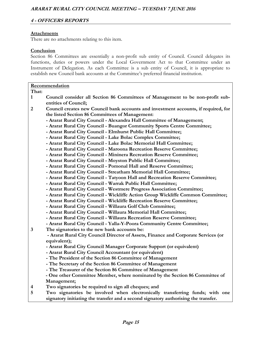#### **Attachments**

There are no attachments relating to this item.

#### **Conclusion**

Section 86 Committees are essentially a non-profit sub entity of Council. Council delegates its functions, duties or powers under the Local Government Act to that Committee under an Instrument of Delegation. As each Committee is a sub entity of Council, it is appropriate to establish new Council bank accounts at the Committee's preferred financial institution.

#### **Recommendation**

#### **That:**

- **1 Council consider all Section 86 Committees of Management to be non-profit subentities of Council;**
- **2 Council creates new Council bank accounts and investment accounts, if required, for the listed Section 86 Committees of Management:** 
	- **Ararat Rural City Council Alexandra Hall Committee of Management;**
	- **Ararat Rural City Council Buangor Community Sports Centre Committee;**
	- **Ararat Rural City Council Elmhurst Public Hall Committee;**
	- **Ararat Rural City Council Lake Bolac Complex Committee;**
	- **Ararat Rural City Council Lake Bolac Memorial Hall Committee;**
	- **Ararat Rural City Council Maroona Recreation Reserve Committee;**
	- **Ararat Rural City Council Mininera Recreation Reserve Committee;**
	- **Ararat Rural City Council Moyston Public Hall Committee;**
	- **Ararat Rural City Council Pomonal Hall and Reserve Committee;**
	- **Ararat Rural City Council Streatham Memorial Hall Committee;**
	- **Ararat Rural City Council Tatyoon Hall and Recreation Reserve Committee;**
	- **Ararat Rural City Council Warrak Public Hall Committee;**
	- **Ararat Rural City Council Westmere Progress Association Committee;**
	- **Ararat Rural City Council Wickliffe Action Group Wickliffe Common Committee;**
	- **Ararat Rural City Council Wickliffe Recreation Reserve Committee;**
	- **Ararat Rural City Council Willaura Golf Club Committee;**
	- **Ararat Rural City Council Willaura Memorial Hall Committee;**
	- **Ararat Rural City Council Willaura Recreation Reserve Committee;**
	- **Ararat Rural City Council Yalla-Y-Poora Community Centre Committee;**
- **3 The signatories to the new bank accounts be:**

 **- Ararat Rural City Council Director of Assets, Finance and Corporate Services (or equivalent);** 

- **Ararat Rural City Council Manager Corporate Support (or equivalent)**
- **Ararat Rural City Council Accountant (or equivalent)**
- **The President of the Section 86 Committee of Management**
- **The Secretary of the Section 86 Committee of Management**
- **The Treasurer of the Section 86 Committee of Management**
- **One other Committee Member, where nominated by the Section 86 Committee of Management;**
- **4 Two signatories be required to sign all cheques; and**
- **5 Two signatories be involved when electronically transferring funds; with one signatory initiating the transfer and a second signatory authorising the transfer.**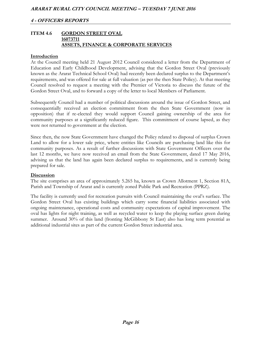#### **ITEM 4.6 GORDON STREET OVAL 16073711 ASSETS, FINANCE & CORPORATE SERVICES**

#### **Introduction**

At the Council meeting held 21 August 2012 Council considered a letter from the Department of Education and Early Childhood Development, advising that the Gordon Street Oval (previously known as the Ararat Technical School Oval) had recently been declared surplus to the Department's requirements, and was offered for sale at full valuation (as per the then State Policy). At that meeting Council resolved to request a meeting with the Premier of Victoria to discuss the future of the Gordon Street Oval, and to forward a copy of the letter to local Members of Parliament.

Subsequently Council had a number of political discussions around the issue of Gordon Street, and consequentially received an election commitment from the then State Government (now in opposition) that if re-elected they would support Council gaining ownership of the area for community purposes at a significantly reduced figure. This commitment of course lapsed, as they were not returned to government at the election.

Since then, the now State Government have changed the Policy related to disposal of surplus Crown Land to allow for a lower sale price, where entities like Councils are purchasing land like this for community purposes. As a result of further discussions with State Government Officers over the last 12 months, we have now received an email from the State Government, dated 17 May 2016, advising us that the land has again been declared surplus to requirements, and is currently being prepared for sale.

#### **Discussion**

The site comprises an area of approximately 5.265 ha, known as Crown Allotment 1, Section 81A, Parish and Township of Ararat and is currently zoned Public Park and Recreation (PPRZ).

The facility is currently used for recreation pursuits with Council maintaining the oval's surface. The Gordon Street Oval has existing buildings which carry some financial liabilities associated with ongoing maintenance, operational costs and community expectations of capital improvement. The oval has lights for night training, as well as recycled water to keep the playing surface green during summer. Around 30% of this land (fronting McGibbony St East) also has long term potential as additional industrial sites as part of the current Gordon Street industrial area.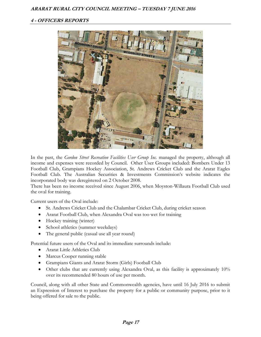

In the past, the *Gordon Street Recreation Facilities User Group Inc.* managed the property, although all income and expenses were recorded by Council. Other User Groups included: Bombers Under 13 Football Club, Grampians Hockey Association, St. Andrews Cricket Club and the Ararat Eagles Football Club. The Australian Securities & Investments Commission's website indicates the incorporated body was deregistered on 2 October 2008.

There has been no income received since August 2006, when Moyston-Willaura Football Club used the oval for training.

Current users of the Oval include:

- St. Andrews Cricket Club and the Chalambar Cricket Club, during cricket season
- Ararat Football Club, when Alexandra Oval was too wet for training
- Hockey training (winter)
- School athletics (summer weekdays)
- The general public (casual use all year round)

Potential future users of the Oval and its immediate surrounds include:

- Ararat Little Athletics Club
- Marcus Cooper running stable
- Grampians Giants and Ararat Storm (Girls) Football Club
- Other clubs that are currently using Alexandra Oval, as this facility is approximately 10% over its recommended 80 hours of use per month.

Council, along with all other State and Commonwealth agencies, have until 16 July 2016 to submit an Expression of Interest to purchase the property for a public or community purpose, prior to it being offered for sale to the public.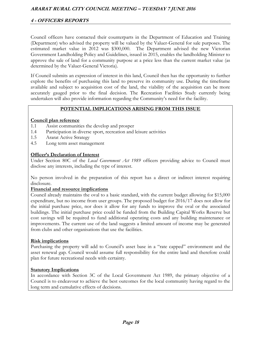Council officers have contacted their counterparts in the Department of Education and Training (Department) who advised the property will be valued by the Valuer-General for sale purposes. The estimated market value in 2012 was \$300,000. The Department advised the new Victorian Government Landholding Policy and Guidelines, issued in 2015, enables the landholding Minister to approve the sale of land for a community purpose at a price less than the current market value (as determined by the Valuer-General Victoria).

If Council submits an expression of interest in this land, Council then has the opportunity to further explore the benefits of purchasing this land to preserve its community use. During the timeframe available and subject to acquisition cost of the land, the viability of the acquisition can be more accurately gauged prior to the final decision. The Recreation Facilities Study currently being undertaken will also provide information regarding the Community's need for the facility.

#### **POTENTIAL IMPLICATIONS ARISING FROM THIS ISSUE**

#### **Council plan reference**

- 1.1 Assist communities the develop and prosper
- 1.4 Participation in diverse sport, recreation and leisure activities
- 1.5 Ararat Active Strategy
- 4.5 Long term asset management

#### **Officer's Declaration of Interest**

Under Section 80C of the *Local Government Act 1989* officers providing advice to Council must disclose any interests, including the type of interest.

No person involved in the preparation of this report has a direct or indirect interest requiring disclosure.

#### **Financial and resource implications**

Council already maintains the oval to a basic standard, with the current budget allowing for \$15,000 expenditure, but no income from user groups. The proposed budget for 2016/17 does not allow for the initial purchase price, nor does it allow for any funds to improve the oval or the associated buildings. The initial purchase price could be funded from the Building Capital Works Reserve but cost savings will be required to fund additional operating costs and any building maintenance or improvements. The current use of the land suggests a limited amount of income may be generated from clubs and other organisations that use the facilities.

#### **Risk implications**

Purchasing the property will add to Council's asset base in a "rate capped" environment and the asset renewal gap. Council would assume full responsibility for the entire land and therefore could plan for future recreational needs with certainty.

#### **Statutory Implications**

In accordance with Section 3C of the Local Government Act 1989, the primary objective of a Council is to endeavour to achieve the best outcomes for the local community having regard to the long term and cumulative effects of decisions.